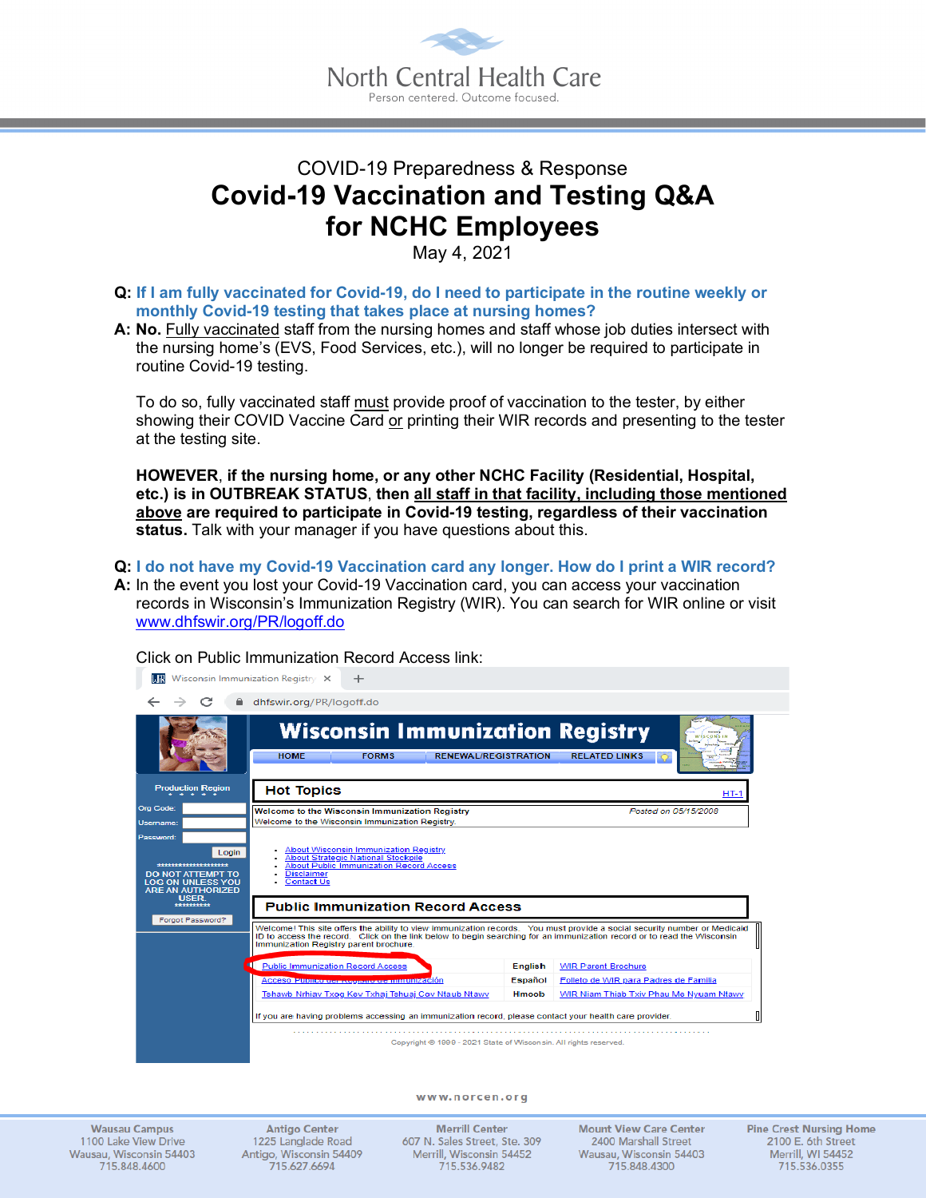

## COVID-19 Preparedness & Response **Covid-19 Vaccination and Testing Q&A for NCHC Employees**

May 4, 2021

- **Q: If I am fully vaccinated for Covid-19, do I need to participate in the routine weekly or monthly Covid-19 testing that takes place at nursing homes?**
- **A: No.** Fully vaccinated staff from the nursing homes and staff whose job duties intersect with the nursing home's (EVS, Food Services, etc.), will no longer be required to participate in routine Covid-19 testing.

To do so, fully vaccinated staff must provide proof of vaccination to the tester, by either showing their COVID Vaccine Card or printing their WIR records and presenting to the tester at the testing site.

**HOWEVER**, **if the nursing home, or any other NCHC Facility (Residential, Hospital, etc.) is in OUTBREAK STATUS**, **then all staff in that facility, including those mentioned above are required to participate in Covid-19 testing, regardless of their vaccination status.** Talk with your manager if you have questions about this.

**Q: I do not have my Covid-19 Vaccination card any longer. How do I print a WIR record?**

**A:** In the event you lost your Covid-19 Vaccination card, you can access your vaccination records in Wisconsin's Immunization Registry (WIR). You can search for WIR online or visit www.dhfswir.org/PR/logoff.do



Click on Public Immunization Record Access link:

www.norcen.org

**Wausau Campus** 1100 Lake View Drive Wausau, Wisconsin 54403 715.848.4600

**Antigo Center** 1225 Langlade Road Antigo, Wisconsin 54409 715.627.6694

**Merrill Center** 607 N. Sales Street, Ste. 309 Merrill, Wisconsin 54452 715.536.9482

**Mount View Care Center** 2400 Marshall Street Wausau, Wisconsin 54403 715.848.4300

**Pine Crest Nursing Home** 2100 E. 6th Street Merrill, WI 54452 715.536.0355